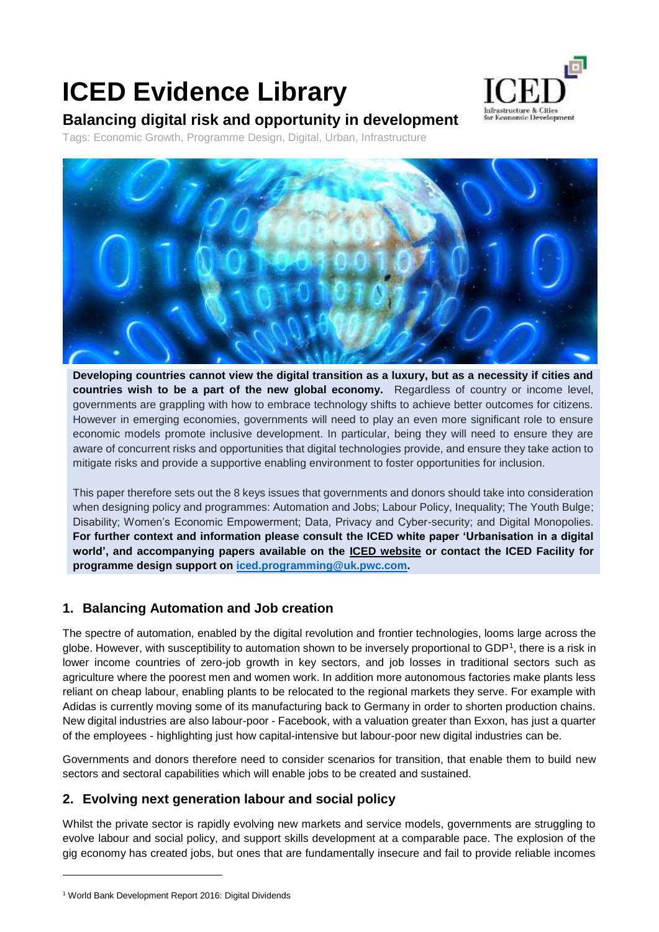# **ICED Evidence Library**



## **Balancing digital risk and opportunity in development**

Tags: Economic Growth, Programme Design, Digital, Urban, Infrastructure



**Developing countries cannot view the digital transition as a luxury, but as a necessity if cities and countries wish to be a part of the new global economy.** Regardless of country or income level, governments are grappling with how to embrace technology shifts to achieve better outcomes for citizens. However in emerging economies, governments will need to play an even more significant role to ensure economic models promote inclusive development. In particular, being they will need to ensure they are aware of concurrent risks and opportunities that digital technologies provide, and ensure they take action to mitigate risks and provide a supportive enabling environment to foster opportunities for inclusion.

This paper therefore sets out the 8 keys issues that governments and donors should take into consideration when designing policy and programmes: Automation and Jobs; Labour Policy, Inequality; The Youth Bulge; Disability; Women's Economic Empowerment; Data, Privacy and Cyber-security; and Digital Monopolies. **For further context and information please consult the ICED white paper 'Urbanisation in a digital world', and accompanying papers available on the ICED website or contact the ICED Facility for programme design support on [iced.programming@uk.pwc.com.](mailto:iced.programming@uk.pwc.com)**

#### **1. Balancing Automation and Job creation**

The spectre of automation, enabled by the digital revolution and frontier technologies, looms large across the globe. However, with susceptibility to automation shown to be inversely proportional to GDP<sup>1</sup>, there is a risk in lower income countries of zero-job growth in key sectors, and job losses in traditional sectors such as agriculture where the poorest men and women work. In addition more autonomous factories make plants less reliant on cheap labour, enabling plants to be relocated to the regional markets they serve. For example with Adidas is currently moving some of its manufacturing back to Germany in order to shorten production chains. New digital industries are also labour-poor - Facebook, with a valuation greater than Exxon, has just a quarter of the employees - highlighting just how capital-intensive but labour-poor new digital industries can be.

Governments and donors therefore need to consider scenarios for transition, that enable them to build new sectors and sectoral capabilities which will enable jobs to be created and sustained.

#### **2. Evolving next generation labour and social policy**

Whilst the private sector is rapidly evolving new markets and service models, governments are struggling to evolve labour and social policy, and support skills development at a comparable pace. The explosion of the gig economy has created jobs, but ones that are fundamentally insecure and fail to provide reliable incomes

1

<sup>1</sup> World Bank Development Report 2016: Digital Dividends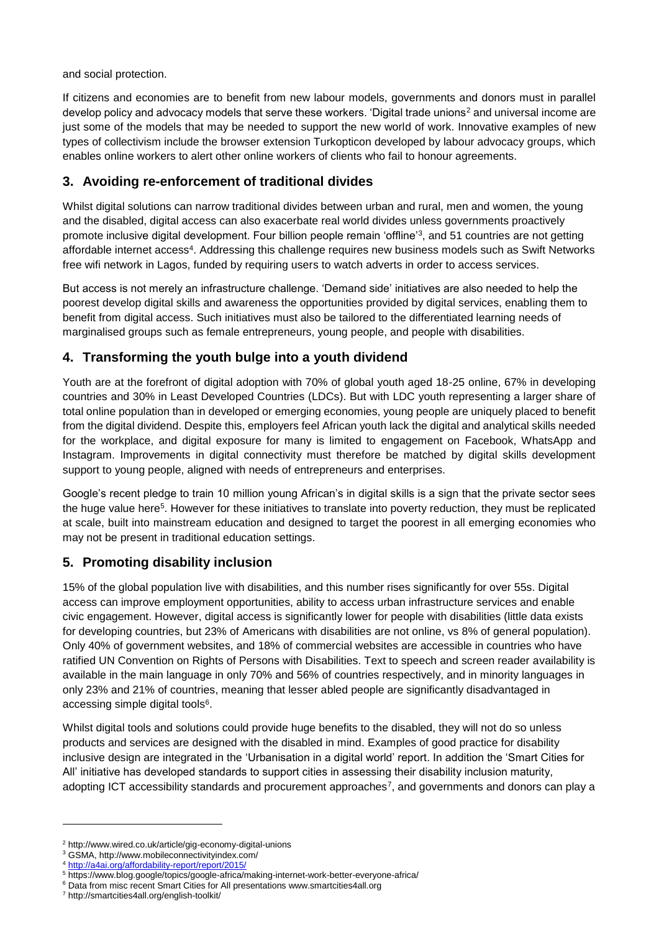and social protection.

If citizens and economies are to benefit from new labour models, governments and donors must in parallel develop policy and advocacy models that serve these workers. 'Digital trade unions<sup>2</sup> and universal income are just some of the models that may be needed to support the new world of work. Innovative examples of new types of collectivism include the browser extension Turkopticon developed by labour advocacy groups, which enables online workers to alert other online workers of clients who fail to honour agreements.

#### **3. Avoiding re-enforcement of traditional divides**

Whilst digital solutions can narrow traditional divides between urban and rural, men and women, the young and the disabled, digital access can also exacerbate real world divides unless governments proactively promote inclusive digital development. Four billion people remain 'offline'<sup>3</sup> , and 51 countries are not getting affordable internet access<sup>4</sup>. Addressing this challenge requires new business models such as Swift Networks free wifi network in Lagos, funded by requiring users to watch adverts in order to access services.

But access is not merely an infrastructure challenge. 'Demand side' initiatives are also needed to help the poorest develop digital skills and awareness the opportunities provided by digital services, enabling them to benefit from digital access. Such initiatives must also be tailored to the differentiated learning needs of marginalised groups such as female entrepreneurs, young people, and people with disabilities.

#### **4. Transforming the youth bulge into a youth dividend**

Youth are at the forefront of digital adoption with 70% of global youth aged 18-25 online, 67% in developing countries and 30% in Least Developed Countries (LDCs). But with LDC youth representing a larger share of total online population than in developed or emerging economies, young people are uniquely placed to benefit from the digital dividend. Despite this, employers feel African youth lack the digital and analytical skills needed for the workplace, and digital exposure for many is limited to engagement on Facebook, WhatsApp and Instagram. Improvements in digital connectivity must therefore be matched by digital skills development support to young people, aligned with needs of entrepreneurs and enterprises.

Google's recent pledge to train 10 million young African's in digital skills is a sign that the private sector sees the huge value here<sup>5</sup>. However for these initiatives to translate into poverty reduction, they must be replicated at scale, built into mainstream education and designed to target the poorest in all emerging economies who may not be present in traditional education settings.

#### **5. Promoting disability inclusion**

15% of the global population live with disabilities, and this number rises significantly for over 55s. Digital access can improve employment opportunities, ability to access urban infrastructure services and enable civic engagement. However, digital access is significantly lower for people with disabilities (little data exists for developing countries, but 23% of Americans with disabilities are not online, vs 8% of general population). Only 40% of government websites, and 18% of commercial websites are accessible in countries who have ratified UN Convention on Rights of Persons with Disabilities. Text to speech and screen reader availability is available in the main language in only 70% and 56% of countries respectively, and in minority languages in only 23% and 21% of countries, meaning that lesser abled people are significantly disadvantaged in accessing simple digital tools<sup>6</sup>.

Whilst digital tools and solutions could provide huge benefits to the disabled, they will not do so unless products and services are designed with the disabled in mind. Examples of good practice for disability inclusive design are integrated in the 'Urbanisation in a digital world' report. In addition the 'Smart Cities for All' initiative has developed standards to support cities in assessing their disability inclusion maturity, adopting ICT accessibility standards and procurement approaches<sup>7</sup>, and governments and donors can play a

-

<sup>2</sup> http://www.wired.co.uk/article/gig-economy-digital-unions

<sup>3</sup> GSMA, http://www.mobileconnectivityindex.com/

<sup>4</sup> <http://a4ai.org/affordability-report/report/2015/>

<sup>5</sup> https://www.blog.google/topics/google-africa/making-internet-work-better-everyone-africa/

<sup>&</sup>lt;sup>6</sup> Data from misc recent Smart Cities for All presentations www.smartcities4all.org

<sup>7</sup> http://smartcities4all.org/english-toolkit/